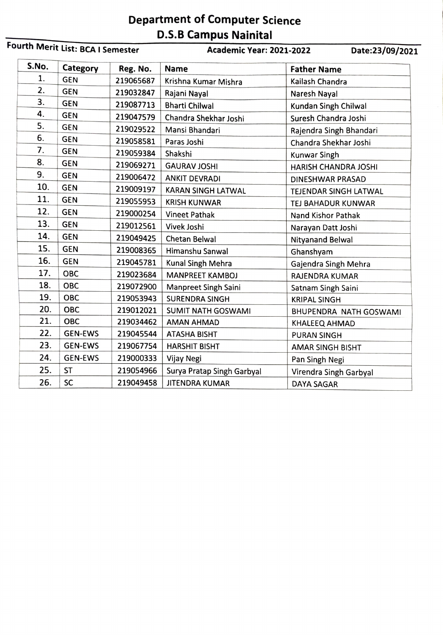## Department of Computer Science

| Fourth Merit List: BCA I Semester |                |           | <b>Academic Year: 2021-2022</b><br>Date:23/09/2021 |                              |
|-----------------------------------|----------------|-----------|----------------------------------------------------|------------------------------|
| S.No.                             | Category       | Reg. No.  | <b>Name</b>                                        | <b>Father Name</b>           |
| 1.                                | <b>GEN</b>     | 219065687 | Krishna Kumar Mishra                               | Kailash Chandra              |
| 2.                                | <b>GEN</b>     | 219032847 | Rajani Nayal                                       | Naresh Nayal                 |
| З.                                | <b>GEN</b>     | 219087713 | <b>Bharti Chilwal</b>                              | Kundan Singh Chilwal         |
| 4.                                | <b>GEN</b>     | 219047579 | Chandra Shekhar Joshi                              | Suresh Chandra Joshi         |
| 5.                                | <b>GEN</b>     | 219029522 | Mansi Bhandari                                     | Rajendra Singh Bhandari      |
| 6.                                | <b>GEN</b>     | 219058581 | Paras Joshi                                        | Chandra Shekhar Joshi        |
| 7.                                | <b>GEN</b>     | 219059384 | Shakshi                                            | <b>Kunwar Singh</b>          |
| 8.                                | <b>GEN</b>     | 219069271 | <b>GAURAV JOSHI</b>                                | <b>HARISH CHANDRA JOSHI</b>  |
| 9.                                | <b>GEN</b>     | 219006472 | <b>ANKIT DEVRADI</b>                               | <b>DINESHWAR PRASAD</b>      |
| 10.                               | <b>GEN</b>     | 219009197 | <b>KARAN SINGH LATWAL</b>                          | <b>TEJENDAR SINGH LATWAL</b> |
| 11.                               | <b>GEN</b>     | 219055953 | <b>KRISH KUNWAR</b>                                | TEJ BAHADUR KUNWAR           |
| 12.                               | <b>GEN</b>     | 219000254 | <b>Vineet Pathak</b>                               | <b>Nand Kishor Pathak</b>    |
| 13.                               | <b>GEN</b>     | 219012561 | Vivek Joshi                                        | Narayan Datt Joshi           |
| 14.                               | <b>GEN</b>     | 219049425 | <b>Chetan Belwal</b>                               | <b>Nityanand Belwal</b>      |
| 15.                               | <b>GEN</b>     | 219008365 | Himanshu Sanwal                                    | Ghanshyam                    |
| 16.                               | <b>GEN</b>     | 219045781 | Kunal Singh Mehra                                  | Gajendra Singh Mehra         |
| 17.                               | OBC            | 219023684 | <b>MANPREET KAMBOJ</b>                             | RAJENDRA KUMAR               |
| 18.                               | <b>OBC</b>     | 219072900 | <b>Manpreet Singh Saini</b>                        | Satnam Singh Saini           |
| 19.                               | <b>OBC</b>     | 219053943 | <b>SURENDRA SINGH</b>                              | <b>KRIPAL SINGH</b>          |
| 20.                               | <b>OBC</b>     | 219012021 | <b>SUMIT NATH GOSWAMI</b>                          | BHUPENDRA NATH GOSWAMI       |
| 21.                               | <b>OBC</b>     | 219034462 | <b>AMAN AHMAD</b>                                  | KHALEEQ AHMAD                |
| 22.                               | <b>GEN-EWS</b> | 219045544 | <b>ATASHA BISHT</b>                                | <b>PURAN SINGH</b>           |
| 23.                               | <b>GEN-EWS</b> | 219067754 | <b>HARSHIT BISHT</b>                               | <b>AMAR SINGH BISHT</b>      |
| 24.                               | <b>GEN-EWS</b> | 219000333 | Vijay Negi                                         | Pan Singh Negi               |
| 25.                               | <b>ST</b>      | 219054966 | Surya Pratap Singh Garbyal                         | Virendra Singh Garbyal       |
| 26.                               | <b>SC</b>      | 219049458 | <b>JITENDRA KUMAR</b>                              | <b>DAYA SAGAR</b>            |